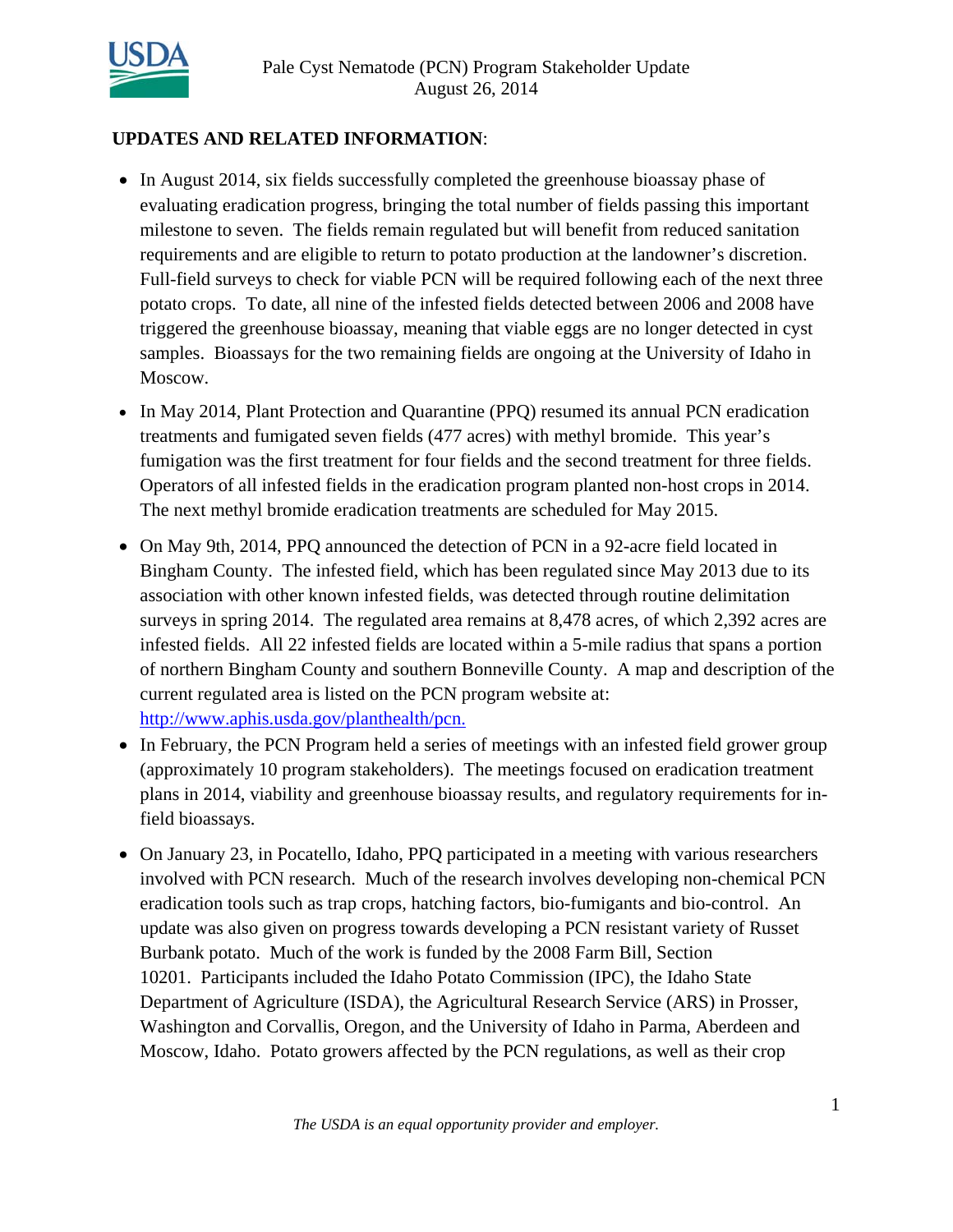

# **UPDATES AND RELATED INFORMATION**:

- In August 2014, six fields successfully completed the greenhouse bioassay phase of evaluating eradication progress, bringing the total number of fields passing this important milestone to seven. The fields remain regulated but will benefit from reduced sanitation requirements and are eligible to return to potato production at the landowner's discretion. Full-field surveys to check for viable PCN will be required following each of the next three potato crops. To date, all nine of the infested fields detected between 2006 and 2008 have triggered the greenhouse bioassay, meaning that viable eggs are no longer detected in cyst samples. Bioassays for the two remaining fields are ongoing at the University of Idaho in Moscow.
- In May 2014, Plant Protection and Quarantine (PPQ) resumed its annual PCN eradication treatments and fumigated seven fields (477 acres) with methyl bromide. This year's fumigation was the first treatment for four fields and the second treatment for three fields. Operators of all infested fields in the eradication program planted non-host crops in 2014. The next methyl bromide eradication treatments are scheduled for May 2015.
- On May 9th, 2014, PPQ announced the detection of PCN in a 92-acre field located in Bingham County. The infested field, which has been regulated since May 2013 due to its association with other known infested fields, was detected through routine delimitation surveys in spring 2014. The regulated area remains at 8,478 acres, of which 2,392 acres are infested fields. All 22 infested fields are located within a 5-mile radius that spans a portion of northern Bingham County and southern Bonneville County. A map and description of the current regulated area is listed on the PCN program website at: http://www.aphis.usda.gov/planthealth/pcn.
- In February, the PCN Program held a series of meetings with an infested field grower group (approximately 10 program stakeholders). The meetings focused on eradication treatment plans in 2014, viability and greenhouse bioassay results, and regulatory requirements for infield bioassays.
- On January 23, in Pocatello, Idaho, PPQ participated in a meeting with various researchers involved with PCN research. Much of the research involves developing non-chemical PCN eradication tools such as trap crops, hatching factors, bio-fumigants and bio-control. An update was also given on progress towards developing a PCN resistant variety of Russet Burbank potato. Much of the work is funded by the 2008 Farm Bill, Section 10201. Participants included the Idaho Potato Commission (IPC), the Idaho State Department of Agriculture (ISDA), the Agricultural Research Service (ARS) in Prosser, Washington and Corvallis, Oregon, and the University of Idaho in Parma, Aberdeen and Moscow, Idaho. Potato growers affected by the PCN regulations, as well as their crop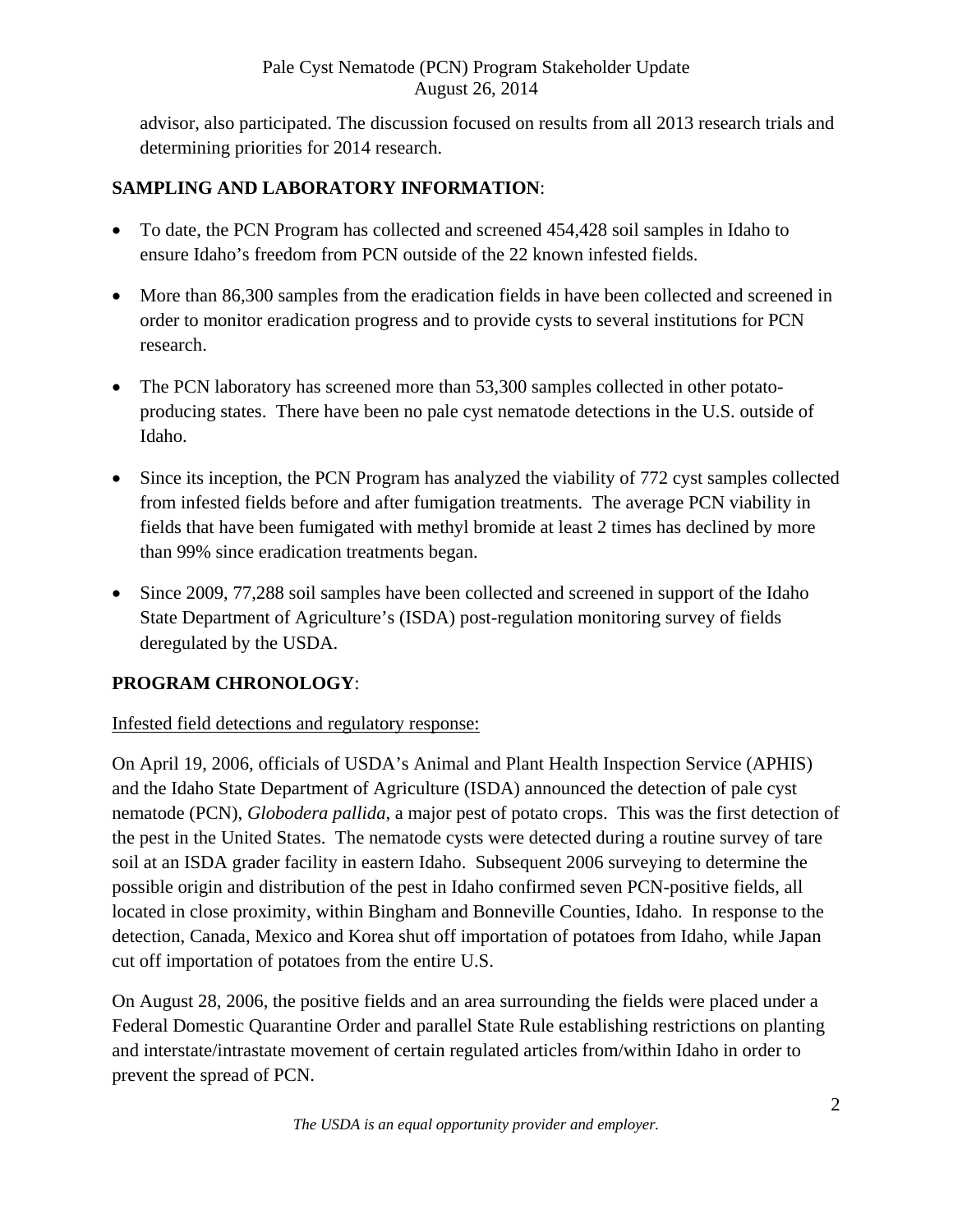advisor, also participated. The discussion focused on results from all 2013 research trials and determining priorities for 2014 research.

# **SAMPLING AND LABORATORY INFORMATION**:

- To date, the PCN Program has collected and screened 454,428 soil samples in Idaho to ensure Idaho's freedom from PCN outside of the 22 known infested fields.
- More than 86,300 samples from the eradication fields in have been collected and screened in order to monitor eradication progress and to provide cysts to several institutions for PCN research.
- The PCN laboratory has screened more than 53,300 samples collected in other potatoproducing states. There have been no pale cyst nematode detections in the U.S. outside of Idaho.
- Since its inception, the PCN Program has analyzed the viability of 772 cyst samples collected from infested fields before and after fumigation treatments. The average PCN viability in fields that have been fumigated with methyl bromide at least 2 times has declined by more than 99% since eradication treatments began.
- Since 2009, 77,288 soil samples have been collected and screened in support of the Idaho State Department of Agriculture's (ISDA) post-regulation monitoring survey of fields deregulated by the USDA.

# **PROGRAM CHRONOLOGY**:

# Infested field detections and regulatory response:

On April 19, 2006, officials of USDA's Animal and Plant Health Inspection Service (APHIS) and the Idaho State Department of Agriculture (ISDA) announced the detection of pale cyst nematode (PCN), *Globodera pallida*, a major pest of potato crops. This was the first detection of the pest in the United States. The nematode cysts were detected during a routine survey of tare soil at an ISDA grader facility in eastern Idaho. Subsequent 2006 surveying to determine the possible origin and distribution of the pest in Idaho confirmed seven PCN-positive fields, all located in close proximity, within Bingham and Bonneville Counties, Idaho. In response to the detection, Canada, Mexico and Korea shut off importation of potatoes from Idaho, while Japan cut off importation of potatoes from the entire U.S.

On August 28, 2006, the positive fields and an area surrounding the fields were placed under a Federal Domestic Quarantine Order and parallel State Rule establishing restrictions on planting and interstate/intrastate movement of certain regulated articles from/within Idaho in order to prevent the spread of PCN.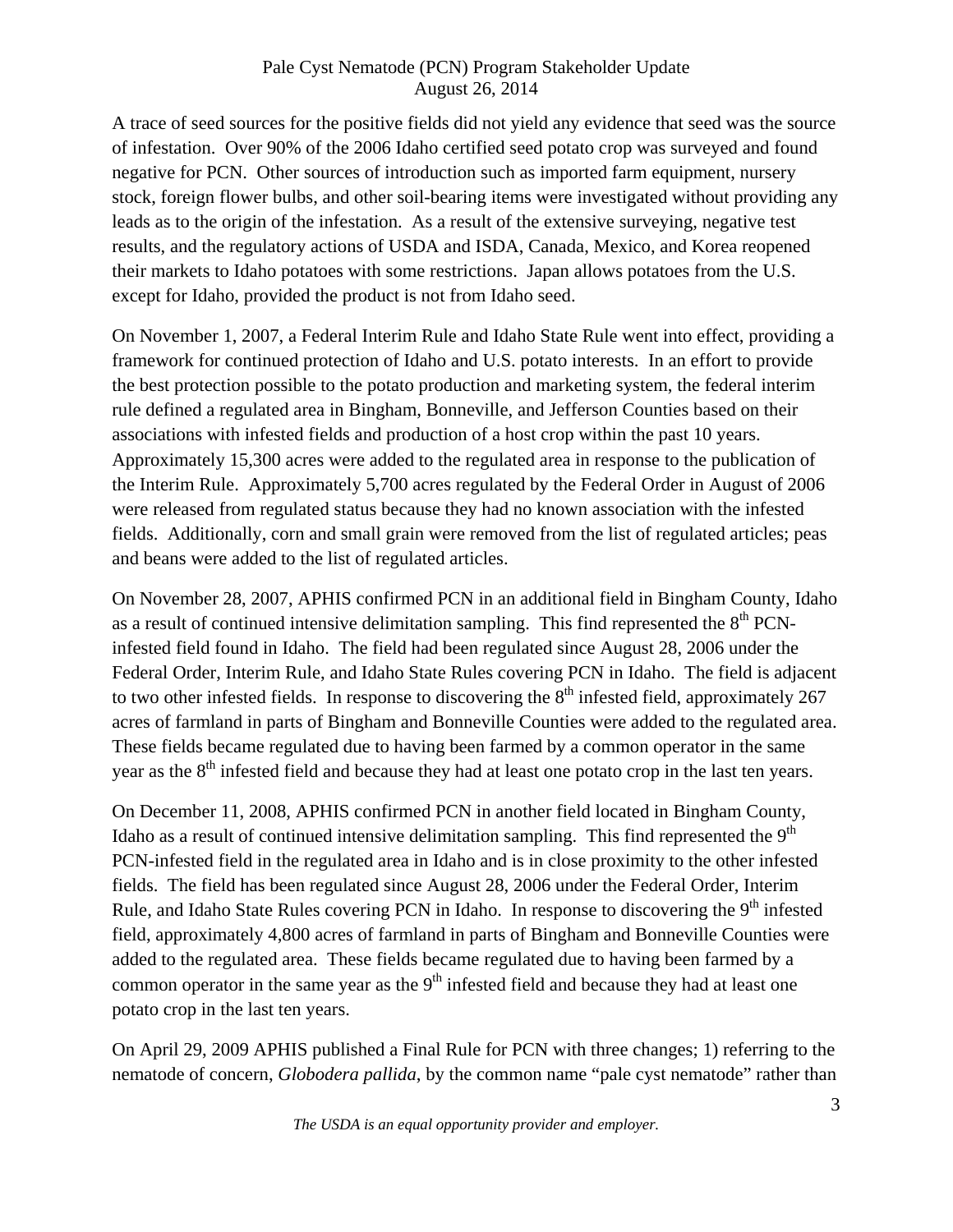A trace of seed sources for the positive fields did not yield any evidence that seed was the source of infestation. Over 90% of the 2006 Idaho certified seed potato crop was surveyed and found negative for PCN. Other sources of introduction such as imported farm equipment, nursery stock, foreign flower bulbs, and other soil-bearing items were investigated without providing any leads as to the origin of the infestation. As a result of the extensive surveying, negative test results, and the regulatory actions of USDA and ISDA, Canada, Mexico, and Korea reopened their markets to Idaho potatoes with some restrictions. Japan allows potatoes from the U.S. except for Idaho, provided the product is not from Idaho seed.

On November 1, 2007, a Federal Interim Rule and Idaho State Rule went into effect, providing a framework for continued protection of Idaho and U.S. potato interests. In an effort to provide the best protection possible to the potato production and marketing system, the federal interim rule defined a regulated area in Bingham, Bonneville, and Jefferson Counties based on their associations with infested fields and production of a host crop within the past 10 years. Approximately 15,300 acres were added to the regulated area in response to the publication of the Interim Rule. Approximately 5,700 acres regulated by the Federal Order in August of 2006 were released from regulated status because they had no known association with the infested fields. Additionally, corn and small grain were removed from the list of regulated articles; peas and beans were added to the list of regulated articles.

On November 28, 2007, APHIS confirmed PCN in an additional field in Bingham County, Idaho as a result of continued intensive delimitation sampling. This find represented the  $8<sup>th</sup>$  PCNinfested field found in Idaho. The field had been regulated since August 28, 2006 under the Federal Order, Interim Rule, and Idaho State Rules covering PCN in Idaho. The field is adjacent to two other infested fields. In response to discovering the  $8<sup>th</sup>$  infested field, approximately 267 acres of farmland in parts of Bingham and Bonneville Counties were added to the regulated area. These fields became regulated due to having been farmed by a common operator in the same year as the  $8<sup>th</sup>$  infested field and because they had at least one potato crop in the last ten years.

On December 11, 2008, APHIS confirmed PCN in another field located in Bingham County, Idaho as a result of continued intensive delimitation sampling. This find represented the  $9<sup>th</sup>$ PCN-infested field in the regulated area in Idaho and is in close proximity to the other infested fields. The field has been regulated since August 28, 2006 under the Federal Order, Interim Rule, and Idaho State Rules covering PCN in Idaho. In response to discovering the  $9<sup>th</sup>$  infested field, approximately 4,800 acres of farmland in parts of Bingham and Bonneville Counties were added to the regulated area. These fields became regulated due to having been farmed by a common operator in the same year as the  $9<sup>th</sup>$  infested field and because they had at least one potato crop in the last ten years.

On April 29, 2009 APHIS published a Final Rule for PCN with three changes; 1) referring to the nematode of concern, *Globodera pallida*, by the common name "pale cyst nematode" rather than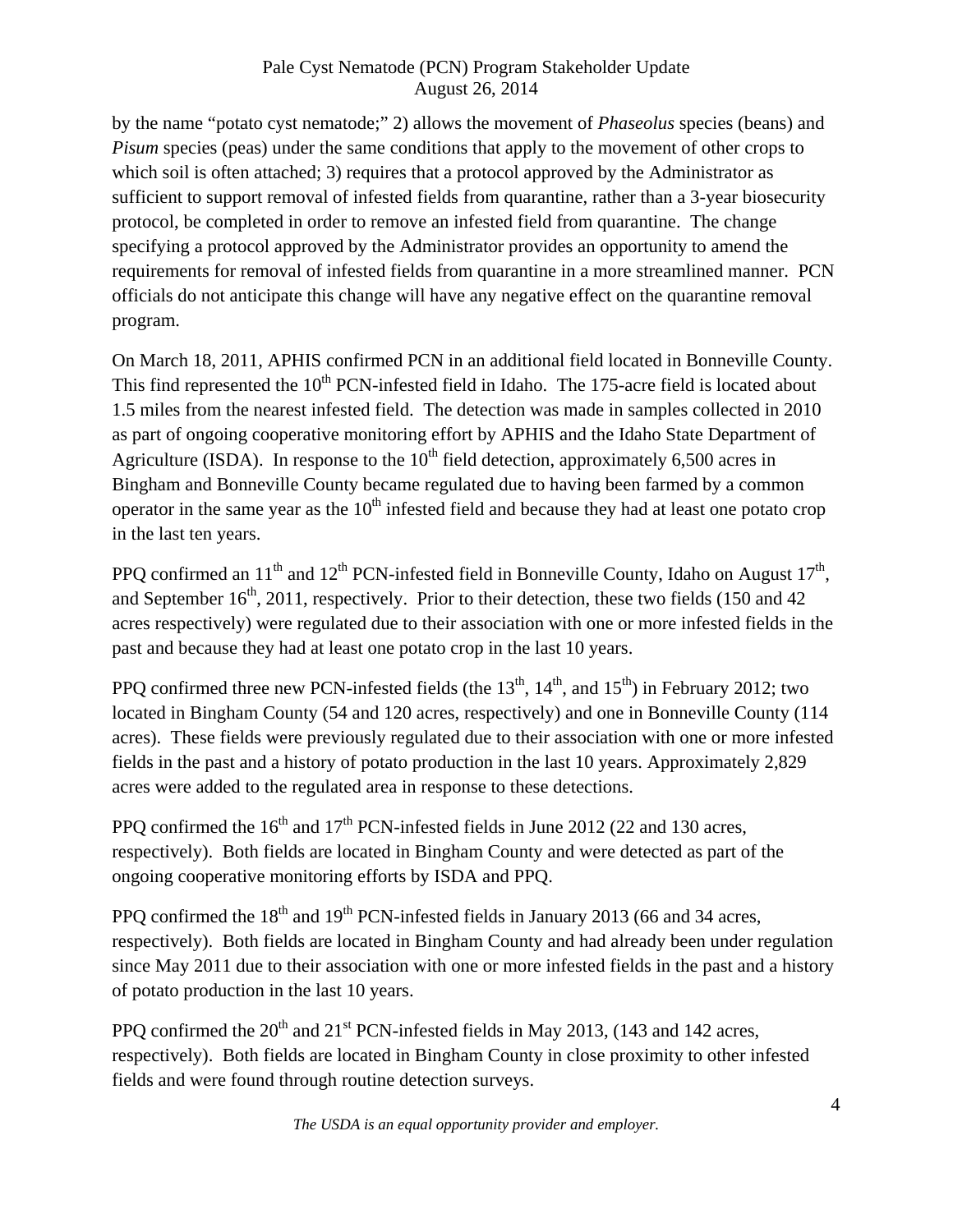by the name "potato cyst nematode;" 2) allows the movement of *Phaseolus* species (beans) and *Pisum* species (peas) under the same conditions that apply to the movement of other crops to which soil is often attached; 3) requires that a protocol approved by the Administrator as sufficient to support removal of infested fields from quarantine, rather than a 3-year biosecurity protocol, be completed in order to remove an infested field from quarantine. The change specifying a protocol approved by the Administrator provides an opportunity to amend the requirements for removal of infested fields from quarantine in a more streamlined manner. PCN officials do not anticipate this change will have any negative effect on the quarantine removal program.

On March 18, 2011, APHIS confirmed PCN in an additional field located in Bonneville County. This find represented the 10<sup>th</sup> PCN-infested field in Idaho. The 175-acre field is located about 1.5 miles from the nearest infested field. The detection was made in samples collected in 2010 as part of ongoing cooperative monitoring effort by APHIS and the Idaho State Department of Agriculture (ISDA). In response to the  $10<sup>th</sup>$  field detection, approximately 6,500 acres in Bingham and Bonneville County became regulated due to having been farmed by a common operator in the same year as the  $10<sup>th</sup>$  infested field and because they had at least one potato crop in the last ten years.

PPQ confirmed an  $11<sup>th</sup>$  and  $12<sup>th</sup>$  PCN-infested field in Bonneville County, Idaho on August  $17<sup>th</sup>$ , and September  $16<sup>th</sup>$ , 2011, respectively. Prior to their detection, these two fields (150 and 42) acres respectively) were regulated due to their association with one or more infested fields in the past and because they had at least one potato crop in the last 10 years.

PPQ confirmed three new PCN-infested fields (the  $13<sup>th</sup>$ ,  $14<sup>th</sup>$ , and  $15<sup>th</sup>$ ) in February 2012; two located in Bingham County (54 and 120 acres, respectively) and one in Bonneville County (114 acres). These fields were previously regulated due to their association with one or more infested fields in the past and a history of potato production in the last 10 years. Approximately 2,829 acres were added to the regulated area in response to these detections.

PPQ confirmed the  $16<sup>th</sup>$  and  $17<sup>th</sup>$  PCN-infested fields in June 2012 (22 and 130 acres, respectively). Both fields are located in Bingham County and were detected as part of the ongoing cooperative monitoring efforts by ISDA and PPQ.

PPQ confirmed the  $18<sup>th</sup>$  and  $19<sup>th</sup>$  PCN-infested fields in January 2013 (66 and 34 acres, respectively). Both fields are located in Bingham County and had already been under regulation since May 2011 due to their association with one or more infested fields in the past and a history of potato production in the last 10 years.

PPQ confirmed the  $20^{th}$  and  $21^{st}$  PCN-infested fields in May 2013, (143 and 142 acres, respectively). Both fields are located in Bingham County in close proximity to other infested fields and were found through routine detection surveys.